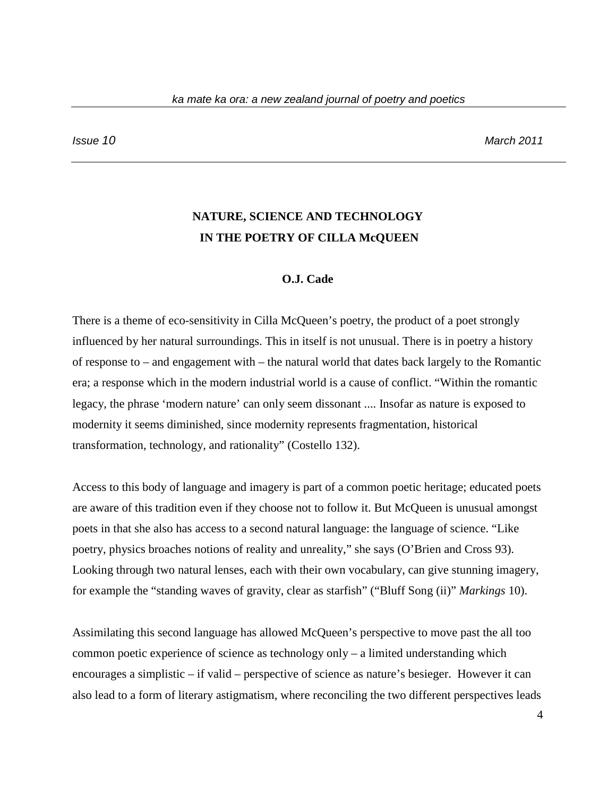# **NATURE, SCIENCE AND TECHNOLOGY IN THE POETRY OF CILLA McQUEEN**

## **O.J. Cade**

There is a theme of eco-sensitivity in Cilla McQueen's poetry, the product of a poet strongly influenced by her natural surroundings. This in itself is not unusual. There is in poetry a history of response to – and engagement with – the natural world that dates back largely to the Romantic era; a response which in the modern industrial world is a cause of conflict. "Within the romantic legacy, the phrase 'modern nature' can only seem dissonant .... Insofar as nature is exposed to modernity it seems diminished, since modernity represents fragmentation, historical transformation, technology, and rationality" (Costello 132).

Access to this body of language and imagery is part of a common poetic heritage; educated poets are aware of this tradition even if they choose not to follow it. But McQueen is unusual amongst poets in that she also has access to a second natural language: the language of science. "Like poetry, physics broaches notions of reality and unreality," she says (O'Brien and Cross 93). Looking through two natural lenses, each with their own vocabulary, can give stunning imagery, for example the "standing waves of gravity, clear as starfish" ("Bluff Song (ii)" *Markings* 10).

Assimilating this second language has allowed McQueen's perspective to move past the all too common poetic experience of science as technology only – a limited understanding which encourages a simplistic – if valid – perspective of science as nature's besieger. However it can also lead to a form of literary astigmatism, where reconciling the two different perspectives leads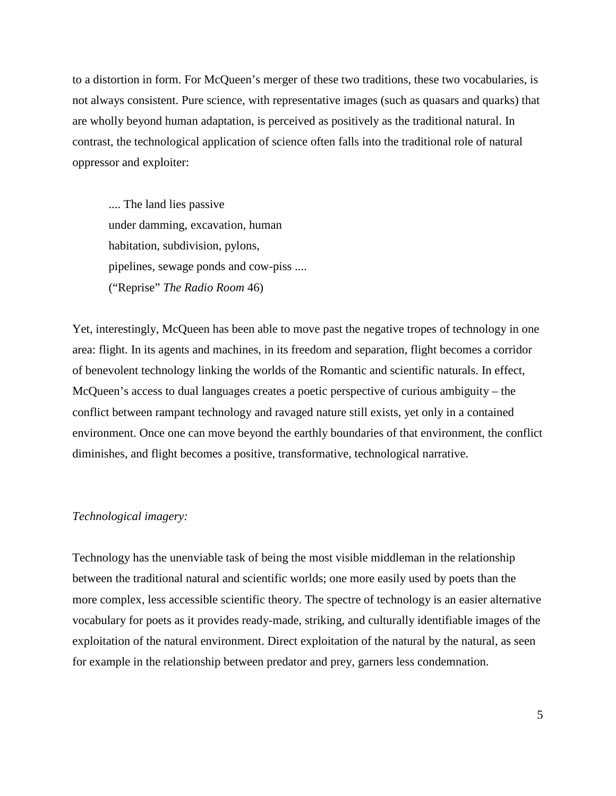to a distortion in form. For McQueen's merger of these two traditions, these two vocabularies, is not always consistent. Pure science, with representative images (such as quasars and quarks) that are wholly beyond human adaptation, is perceived as positively as the traditional natural. In contrast, the technological application of science often falls into the traditional role of natural oppressor and exploiter:

.... The land lies passive under damming, excavation, human habitation, subdivision, pylons, pipelines, sewage ponds and cow-piss .... ("Reprise" *The Radio Room* 46)

Yet, interestingly, McQueen has been able to move past the negative tropes of technology in one area: flight. In its agents and machines, in its freedom and separation, flight becomes a corridor of benevolent technology linking the worlds of the Romantic and scientific naturals. In effect, McQueen's access to dual languages creates a poetic perspective of curious ambiguity – the conflict between rampant technology and ravaged nature still exists, yet only in a contained environment. Once one can move beyond the earthly boundaries of that environment, the conflict diminishes, and flight becomes a positive, transformative, technological narrative.

#### *Technological imagery:*

Technology has the unenviable task of being the most visible middleman in the relationship between the traditional natural and scientific worlds; one more easily used by poets than the more complex, less accessible scientific theory. The spectre of technology is an easier alternative vocabulary for poets as it provides ready-made, striking, and culturally identifiable images of the exploitation of the natural environment. Direct exploitation of the natural by the natural, as seen for example in the relationship between predator and prey, garners less condemnation.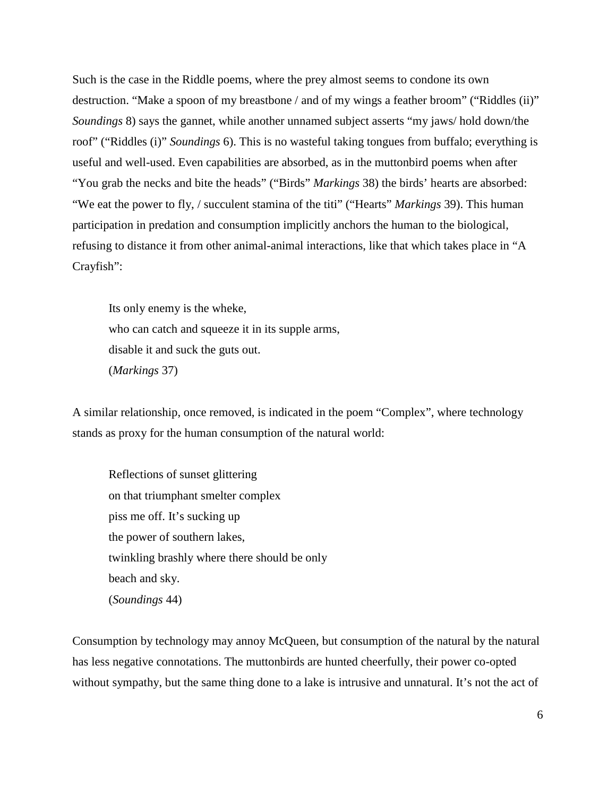Such is the case in the Riddle poems, where the prey almost seems to condone its own destruction. "Make a spoon of my breastbone / and of my wings a feather broom" ("Riddles (ii)" *Soundings* 8) says the gannet, while another unnamed subject asserts "my jaws/ hold down/the roof" ("Riddles (i)" *Soundings* 6). This is no wasteful taking tongues from buffalo; everything is useful and well-used. Even capabilities are absorbed, as in the muttonbird poems when after "You grab the necks and bite the heads" ("Birds" *Markings* 38) the birds' hearts are absorbed: "We eat the power to fly, / succulent stamina of the titi" ("Hearts" *Markings* 39). This human participation in predation and consumption implicitly anchors the human to the biological, refusing to distance it from other animal-animal interactions, like that which takes place in "A Crayfish":

Its only enemy is the wheke, who can catch and squeeze it in its supple arms, disable it and suck the guts out. (*Markings* 37)

A similar relationship, once removed, is indicated in the poem "Complex", where technology stands as proxy for the human consumption of the natural world:

Reflections of sunset glittering on that triumphant smelter complex piss me off. It's sucking up the power of southern lakes, twinkling brashly where there should be only beach and sky. (*Soundings* 44)

Consumption by technology may annoy McQueen, but consumption of the natural by the natural has less negative connotations. The muttonbirds are hunted cheerfully, their power co-opted without sympathy, but the same thing done to a lake is intrusive and unnatural. It's not the act of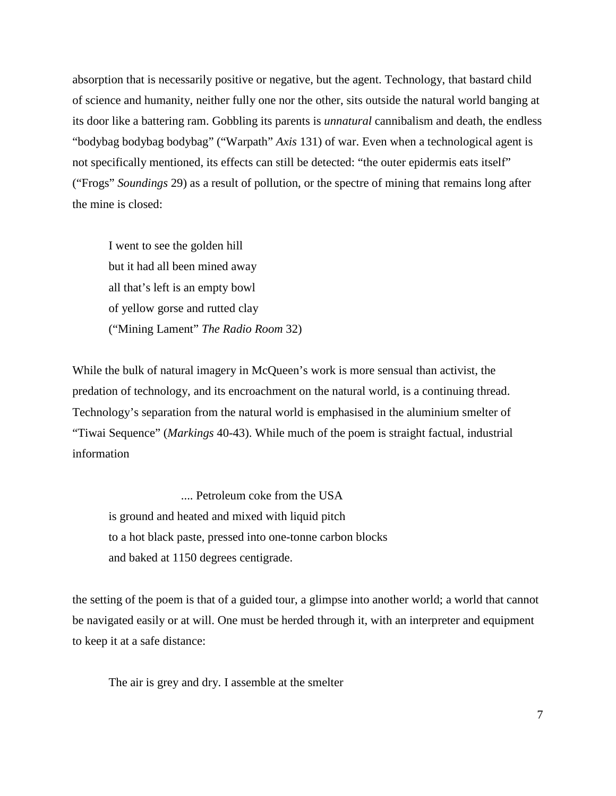absorption that is necessarily positive or negative, but the agent. Technology, that bastard child of science and humanity, neither fully one nor the other, sits outside the natural world banging at its door like a battering ram. Gobbling its parents is *unnatural* cannibalism and death, the endless "bodybag bodybag bodybag" ("Warpath" *Axis* 131) of war. Even when a technological agent is not specifically mentioned, its effects can still be detected: "the outer epidermis eats itself" ("Frogs" *Soundings* 29) as a result of pollution, or the spectre of mining that remains long after the mine is closed:

I went to see the golden hill but it had all been mined away all that's left is an empty bowl of yellow gorse and rutted clay ("Mining Lament" *The Radio Room* 32)

While the bulk of natural imagery in McQueen's work is more sensual than activist, the predation of technology, and its encroachment on the natural world, is a continuing thread. Technology's separation from the natural world is emphasised in the aluminium smelter of "Tiwai Sequence" (*Markings* 40-43). While much of the poem is straight factual, industrial information

.... Petroleum coke from the USA is ground and heated and mixed with liquid pitch to a hot black paste, pressed into one-tonne carbon blocks and baked at 1150 degrees centigrade.

the setting of the poem is that of a guided tour, a glimpse into another world; a world that cannot be navigated easily or at will. One must be herded through it, with an interpreter and equipment to keep it at a safe distance:

The air is grey and dry. I assemble at the smelter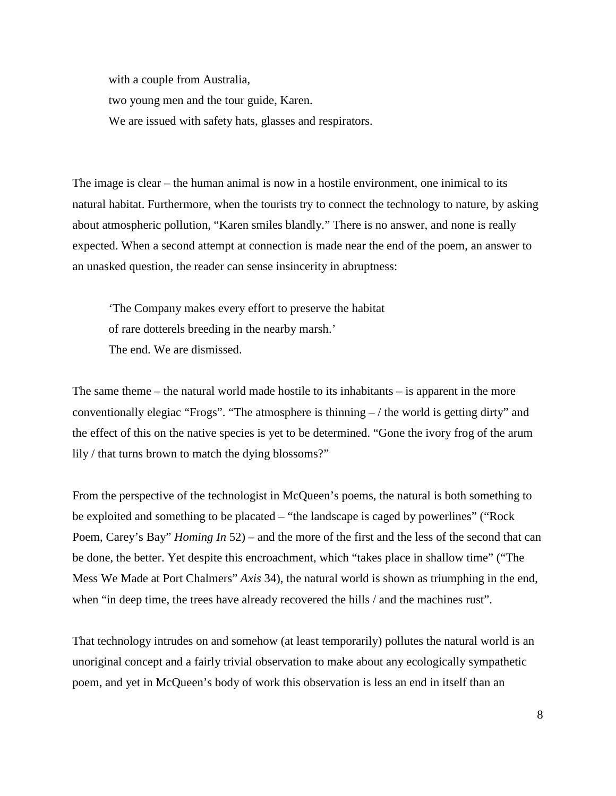with a couple from Australia, two young men and the tour guide, Karen. We are issued with safety hats, glasses and respirators.

The image is clear – the human animal is now in a hostile environment, one inimical to its natural habitat. Furthermore, when the tourists try to connect the technology to nature, by asking about atmospheric pollution, "Karen smiles blandly." There is no answer, and none is really expected. When a second attempt at connection is made near the end of the poem, an answer to an unasked question, the reader can sense insincerity in abruptness:

'The Company makes every effort to preserve the habitat of rare dotterels breeding in the nearby marsh.' The end. We are dismissed.

The same theme – the natural world made hostile to its inhabitants – is apparent in the more conventionally elegiac "Frogs". "The atmosphere is thinning  $-$  the world is getting dirty" and the effect of this on the native species is yet to be determined. "Gone the ivory frog of the arum lily / that turns brown to match the dying blossoms?"

From the perspective of the technologist in McQueen's poems, the natural is both something to be exploited and something to be placated – "the landscape is caged by powerlines" ("Rock Poem, Carey's Bay" *Homing In* 52) – and the more of the first and the less of the second that can be done, the better. Yet despite this encroachment, which "takes place in shallow time" ("The Mess We Made at Port Chalmers" *Axis* 34), the natural world is shown as triumphing in the end, when "in deep time, the trees have already recovered the hills / and the machines rust".

That technology intrudes on and somehow (at least temporarily) pollutes the natural world is an unoriginal concept and a fairly trivial observation to make about any ecologically sympathetic poem, and yet in McQueen's body of work this observation is less an end in itself than an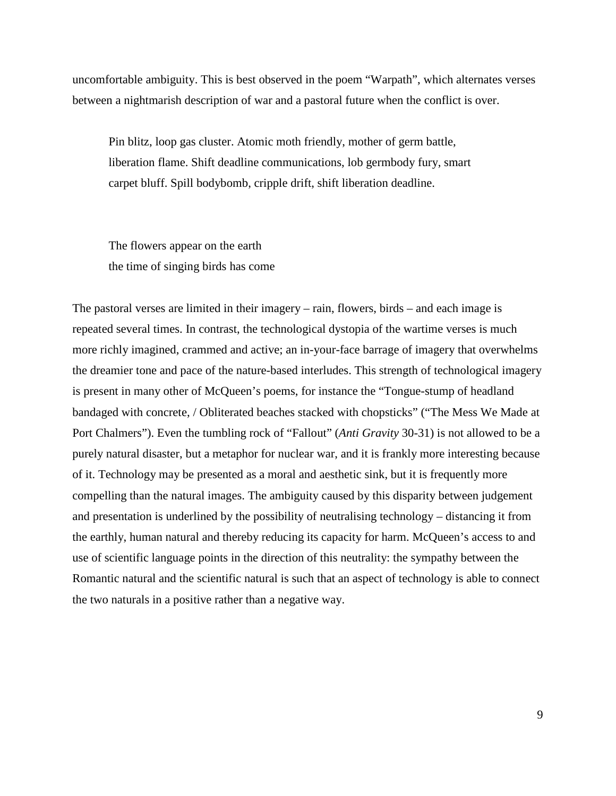uncomfortable ambiguity. This is best observed in the poem "Warpath", which alternates verses between a nightmarish description of war and a pastoral future when the conflict is over.

Pin blitz, loop gas cluster. Atomic moth friendly, mother of germ battle, liberation flame. Shift deadline communications, lob germbody fury, smart carpet bluff. Spill bodybomb, cripple drift, shift liberation deadline.

The flowers appear on the earth the time of singing birds has come

The pastoral verses are limited in their imagery – rain, flowers, birds – and each image is repeated several times. In contrast, the technological dystopia of the wartime verses is much more richly imagined, crammed and active; an in-your-face barrage of imagery that overwhelms the dreamier tone and pace of the nature-based interludes. This strength of technological imagery is present in many other of McQueen's poems, for instance the "Tongue-stump of headland bandaged with concrete, / Obliterated beaches stacked with chopsticks" ("The Mess We Made at Port Chalmers"). Even the tumbling rock of "Fallout" (*Anti Gravity* 30-31) is not allowed to be a purely natural disaster, but a metaphor for nuclear war, and it is frankly more interesting because of it. Technology may be presented as a moral and aesthetic sink, but it is frequently more compelling than the natural images. The ambiguity caused by this disparity between judgement and presentation is underlined by the possibility of neutralising technology – distancing it from the earthly, human natural and thereby reducing its capacity for harm. McQueen's access to and use of scientific language points in the direction of this neutrality: the sympathy between the Romantic natural and the scientific natural is such that an aspect of technology is able to connect the two naturals in a positive rather than a negative way.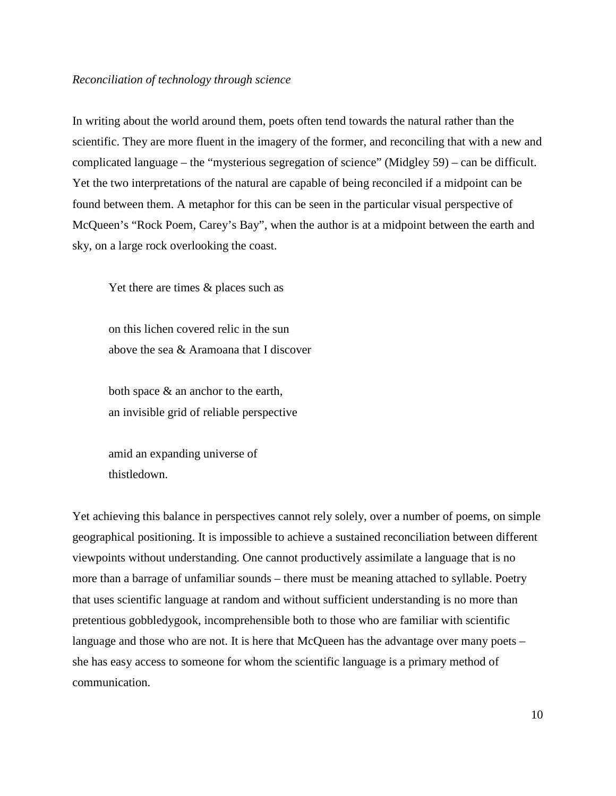#### *Reconciliation of technology through science*

In writing about the world around them, poets often tend towards the natural rather than the scientific. They are more fluent in the imagery of the former, and reconciling that with a new and complicated language – the "mysterious segregation of science" (Midgley 59) – can be difficult. Yet the two interpretations of the natural are capable of being reconciled if a midpoint can be found between them. A metaphor for this can be seen in the particular visual perspective of McQueen's "Rock Poem, Carey's Bay", when the author is at a midpoint between the earth and sky, on a large rock overlooking the coast.

Yet there are times & places such as

on this lichen covered relic in the sun above the sea & Aramoana that I discover

both space & an anchor to the earth, an invisible grid of reliable perspective

amid an expanding universe of thistledown.

Yet achieving this balance in perspectives cannot rely solely, over a number of poems, on simple geographical positioning. It is impossible to achieve a sustained reconciliation between different viewpoints without understanding. One cannot productively assimilate a language that is no more than a barrage of unfamiliar sounds – there must be meaning attached to syllable. Poetry that uses scientific language at random and without sufficient understanding is no more than pretentious gobbledygook, incomprehensible both to those who are familiar with scientific language and those who are not. It is here that McQueen has the advantage over many poets – she has easy access to someone for whom the scientific language is a primary method of communication.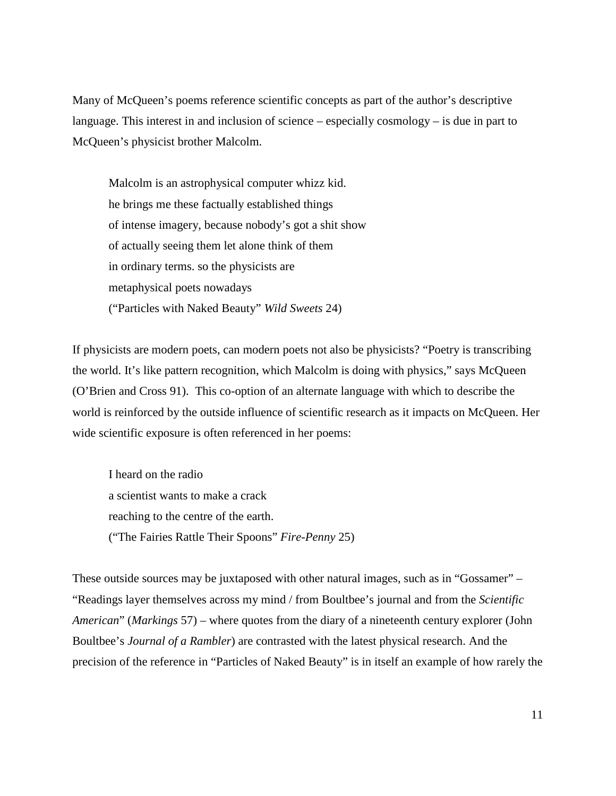Many of McQueen's poems reference scientific concepts as part of the author's descriptive language. This interest in and inclusion of science – especially cosmology – is due in part to McQueen's physicist brother Malcolm.

Malcolm is an astrophysical computer whizz kid. he brings me these factually established things of intense imagery, because nobody's got a shit show of actually seeing them let alone think of them in ordinary terms. so the physicists are metaphysical poets nowadays ("Particles with Naked Beauty" *Wild Sweets* 24)

If physicists are modern poets, can modern poets not also be physicists? "Poetry is transcribing the world. It's like pattern recognition, which Malcolm is doing with physics," says McQueen (O'Brien and Cross 91). This co-option of an alternate language with which to describe the world is reinforced by the outside influence of scientific research as it impacts on McQueen. Her wide scientific exposure is often referenced in her poems:

I heard on the radio a scientist wants to make a crack reaching to the centre of the earth. ("The Fairies Rattle Their Spoons" *Fire-Penny* 25)

These outside sources may be juxtaposed with other natural images, such as in "Gossamer" – "Readings layer themselves across my mind / from Boultbee's journal and from the *Scientific American*" (*Markings* 57) – where quotes from the diary of a nineteenth century explorer (John Boultbee's *Journal of a Rambler*) are contrasted with the latest physical research. And the precision of the reference in "Particles of Naked Beauty" is in itself an example of how rarely the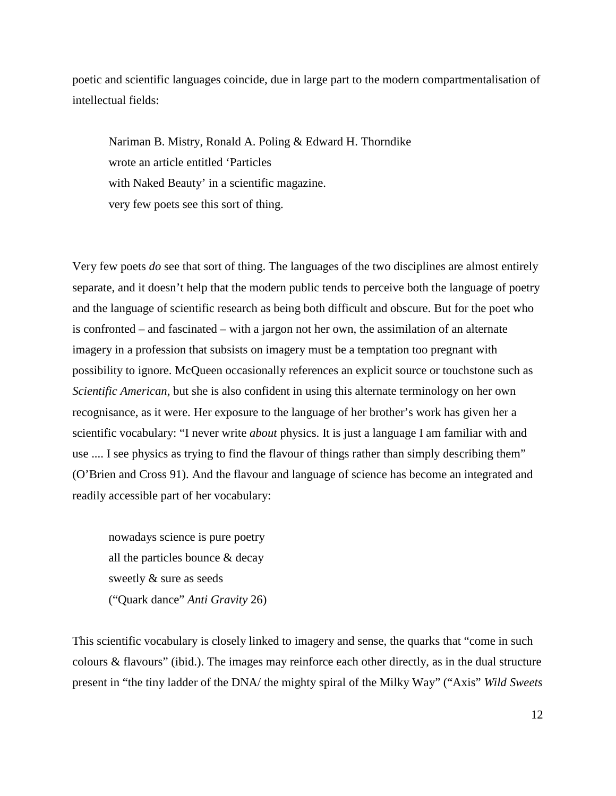poetic and scientific languages coincide, due in large part to the modern compartmentalisation of intellectual fields:

Nariman B. Mistry, Ronald A. Poling & Edward H. Thorndike wrote an article entitled 'Particles with Naked Beauty' in a scientific magazine. very few poets see this sort of thing.

Very few poets *do* see that sort of thing. The languages of the two disciplines are almost entirely separate, and it doesn't help that the modern public tends to perceive both the language of poetry and the language of scientific research as being both difficult and obscure. But for the poet who is confronted – and fascinated – with a jargon not her own, the assimilation of an alternate imagery in a profession that subsists on imagery must be a temptation too pregnant with possibility to ignore. McQueen occasionally references an explicit source or touchstone such as *Scientific American*, but she is also confident in using this alternate terminology on her own recognisance, as it were. Her exposure to the language of her brother's work has given her a scientific vocabulary: "I never write *about* physics. It is just a language I am familiar with and use .... I see physics as trying to find the flavour of things rather than simply describing them" (O'Brien and Cross 91). And the flavour and language of science has become an integrated and readily accessible part of her vocabulary:

nowadays science is pure poetry all the particles bounce & decay sweetly & sure as seeds ("Quark dance" *Anti Gravity* 26)

This scientific vocabulary is closely linked to imagery and sense, the quarks that "come in such colours & flavours" (ibid.). The images may reinforce each other directly, as in the dual structure present in "the tiny ladder of the DNA/ the mighty spiral of the Milky Way" ("Axis" *Wild Sweets*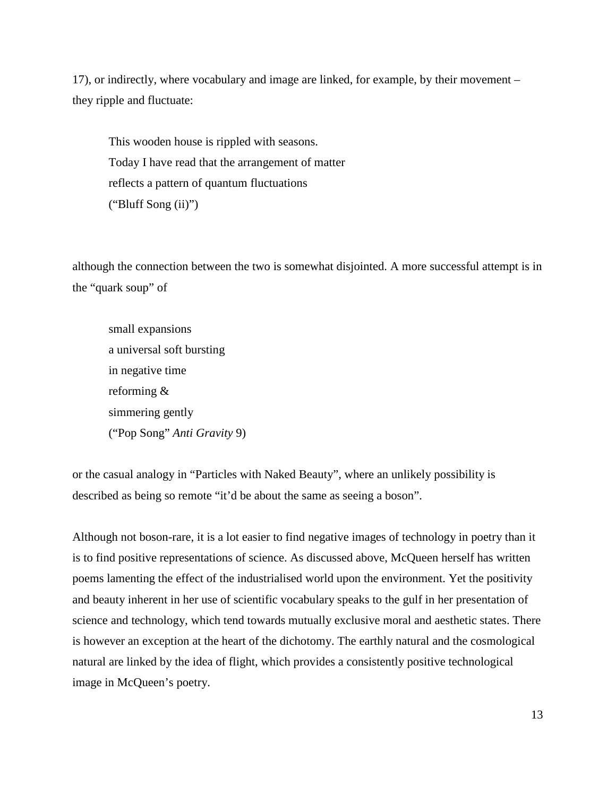17), or indirectly, where vocabulary and image are linked, for example, by their movement – they ripple and fluctuate:

This wooden house is rippled with seasons. Today I have read that the arrangement of matter reflects a pattern of quantum fluctuations ("Bluff Song (ii)")

although the connection between the two is somewhat disjointed. A more successful attempt is in the "quark soup" of

small expansions a universal soft bursting in negative time reforming & simmering gently ("Pop Song" *Anti Gravity* 9)

or the casual analogy in "Particles with Naked Beauty", where an unlikely possibility is described as being so remote "it'd be about the same as seeing a boson".

Although not boson-rare, it is a lot easier to find negative images of technology in poetry than it is to find positive representations of science. As discussed above, McQueen herself has written poems lamenting the effect of the industrialised world upon the environment. Yet the positivity and beauty inherent in her use of scientific vocabulary speaks to the gulf in her presentation of science and technology, which tend towards mutually exclusive moral and aesthetic states. There is however an exception at the heart of the dichotomy. The earthly natural and the cosmological natural are linked by the idea of flight, which provides a consistently positive technological image in McQueen's poetry.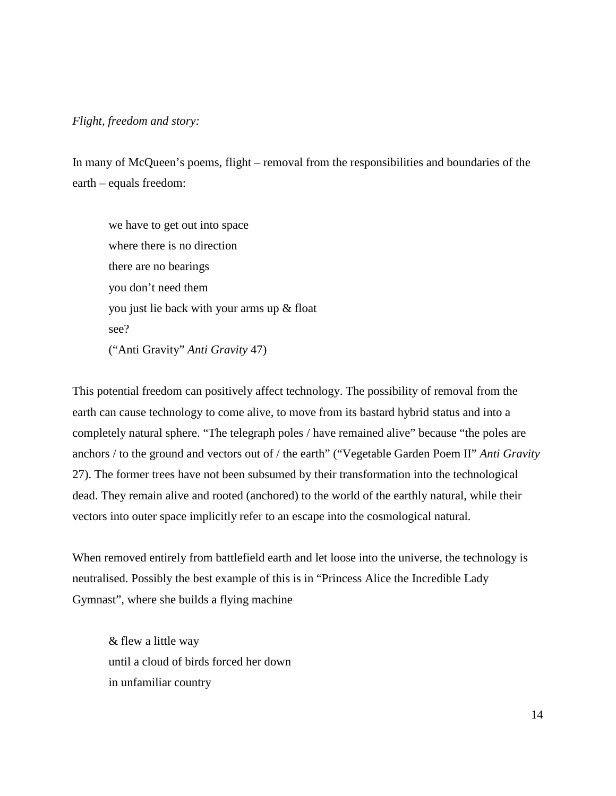### *Flight, freedom and story:*

In many of McQueen's poems, flight – removal from the responsibilities and boundaries of the earth – equals freedom:

we have to get out into space where there is no direction there are no bearings you don't need them you just lie back with your arms up & float see? ("Anti Gravity" *Anti Gravity* 47)

This potential freedom can positively affect technology. The possibility of removal from the earth can cause technology to come alive, to move from its bastard hybrid status and into a completely natural sphere. "The telegraph poles / have remained alive" because "the poles are anchors / to the ground and vectors out of / the earth" ("Vegetable Garden Poem II" *Anti Gravity* 27). The former trees have not been subsumed by their transformation into the technological dead. They remain alive and rooted (anchored) to the world of the earthly natural, while their vectors into outer space implicitly refer to an escape into the cosmological natural.

When removed entirely from battlefield earth and let loose into the universe, the technology is neutralised. Possibly the best example of this is in "Princess Alice the Incredible Lady Gymnast", where she builds a flying machine

& flew a little way until a cloud of birds forced her down in unfamiliar country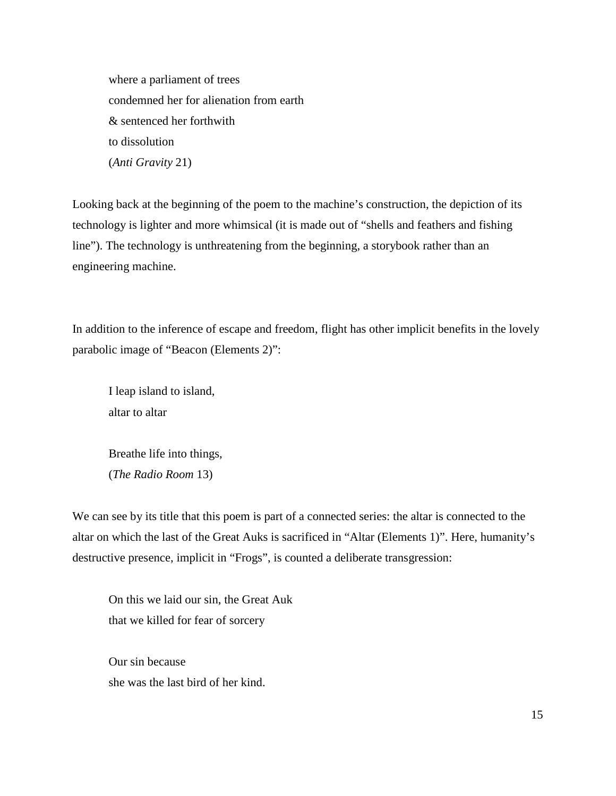where a parliament of trees condemned her for alienation from earth & sentenced her forthwith to dissolution (*Anti Gravity* 21)

Looking back at the beginning of the poem to the machine's construction, the depiction of its technology is lighter and more whimsical (it is made out of "shells and feathers and fishing line"). The technology is unthreatening from the beginning, a storybook rather than an engineering machine.

In addition to the inference of escape and freedom, flight has other implicit benefits in the lovely parabolic image of "Beacon (Elements 2)":

I leap island to island, altar to altar

Breathe life into things, (*The Radio Room* 13)

We can see by its title that this poem is part of a connected series: the altar is connected to the altar on which the last of the Great Auks is sacrificed in "Altar (Elements 1)". Here, humanity's destructive presence, implicit in "Frogs", is counted a deliberate transgression:

On this we laid our sin, the Great Auk that we killed for fear of sorcery

Our sin because she was the last bird of her kind.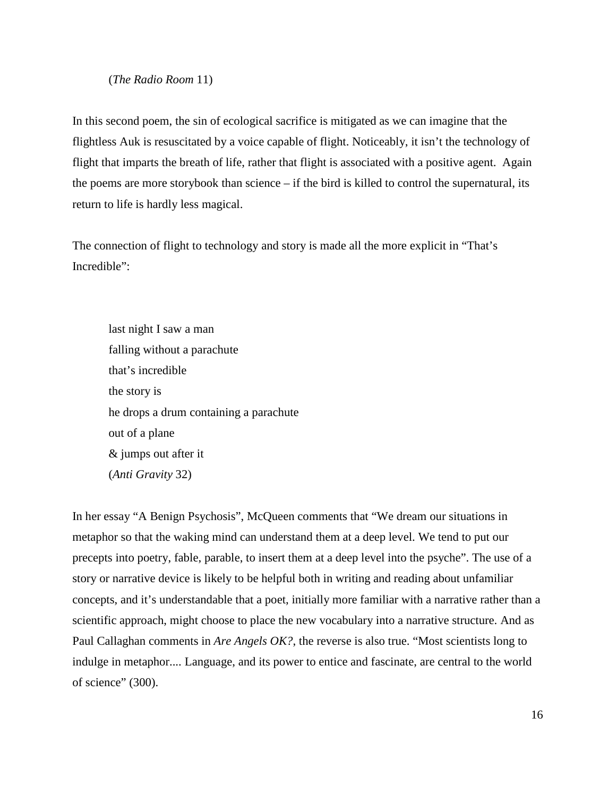#### (*The Radio Room* 11)

In this second poem, the sin of ecological sacrifice is mitigated as we can imagine that the flightless Auk is resuscitated by a voice capable of flight. Noticeably, it isn't the technology of flight that imparts the breath of life, rather that flight is associated with a positive agent. Again the poems are more storybook than science – if the bird is killed to control the supernatural, its return to life is hardly less magical.

The connection of flight to technology and story is made all the more explicit in "That's Incredible":

last night I saw a man falling without a parachute that's incredible the story is he drops a drum containing a parachute out of a plane & jumps out after it (*Anti Gravity* 32)

In her essay "A Benign Psychosis", McQueen comments that "We dream our situations in metaphor so that the waking mind can understand them at a deep level. We tend to put our precepts into poetry, fable, parable, to insert them at a deep level into the psyche". The use of a story or narrative device is likely to be helpful both in writing and reading about unfamiliar concepts, and it's understandable that a poet, initially more familiar with a narrative rather than a scientific approach, might choose to place the new vocabulary into a narrative structure. And as Paul Callaghan comments in *Are Angels OK?*, the reverse is also true. "Most scientists long to indulge in metaphor.... Language, and its power to entice and fascinate, are central to the world of science" (300).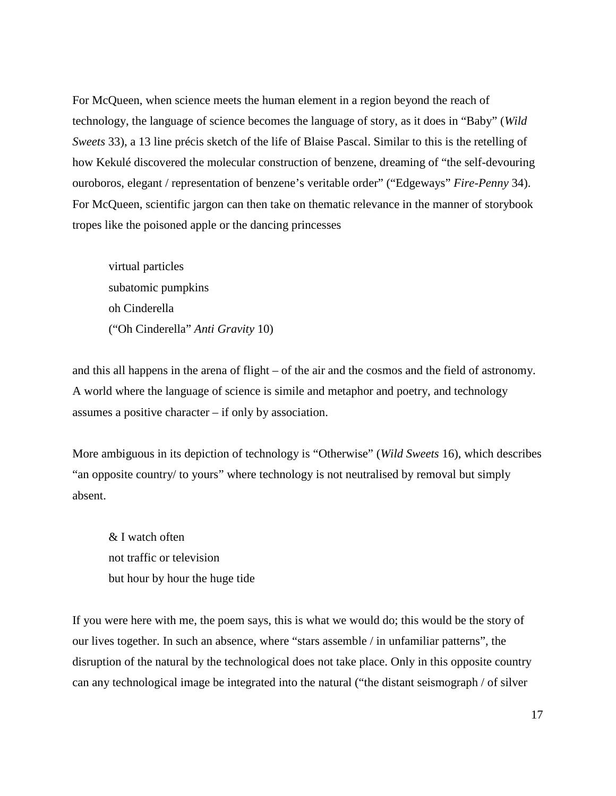For McQueen, when science meets the human element in a region beyond the reach of technology, the language of science becomes the language of story, as it does in "Baby" (*Wild Sweets* 33), a 13 line précis sketch of the life of Blaise Pascal. Similar to this is the retelling of how Kekulé discovered the molecular construction of benzene, dreaming of "the self-devouring ouroboros, elegant / representation of benzene's veritable order" ("Edgeways" *Fire-Penny* 34). For McQueen, scientific jargon can then take on thematic relevance in the manner of storybook tropes like the poisoned apple or the dancing princesses

virtual particles subatomic pumpkins oh Cinderella ("Oh Cinderella" *Anti Gravity* 10)

and this all happens in the arena of flight – of the air and the cosmos and the field of astronomy. A world where the language of science is simile and metaphor and poetry, and technology assumes a positive character – if only by association.

More ambiguous in its depiction of technology is "Otherwise" (*Wild Sweets* 16), which describes "an opposite country/ to yours" where technology is not neutralised by removal but simply absent.

& I watch often not traffic or television but hour by hour the huge tide

If you were here with me, the poem says, this is what we would do; this would be the story of our lives together. In such an absence, where "stars assemble / in unfamiliar patterns", the disruption of the natural by the technological does not take place. Only in this opposite country can any technological image be integrated into the natural ("the distant seismograph / of silver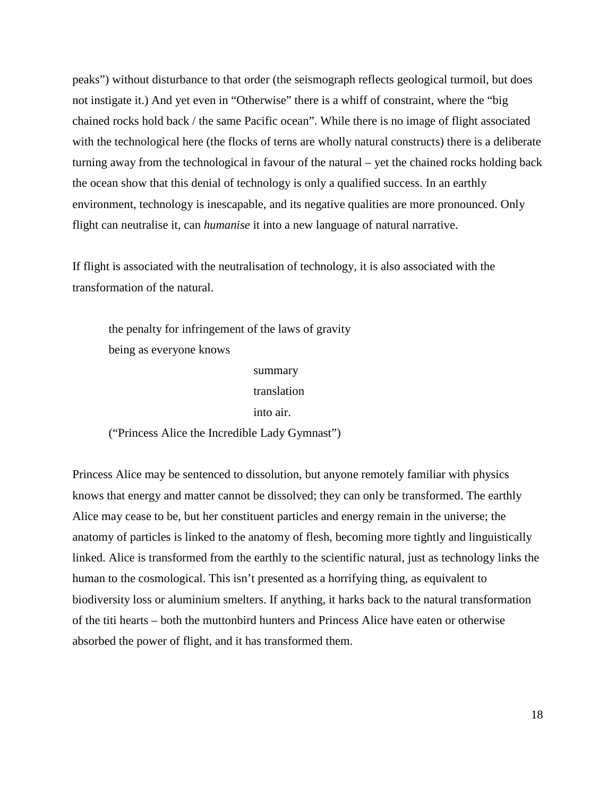peaks") without disturbance to that order (the seismograph reflects geological turmoil, but does not instigate it.) And yet even in "Otherwise" there is a whiff of constraint, where the "big chained rocks hold back / the same Pacific ocean". While there is no image of flight associated with the technological here (the flocks of terns are wholly natural constructs) there is a deliberate turning away from the technological in favour of the natural – yet the chained rocks holding back the ocean show that this denial of technology is only a qualified success. In an earthly environment, technology is inescapable, and its negative qualities are more pronounced. Only flight can neutralise it, can *humanise* it into a new language of natural narrative.

If flight is associated with the neutralisation of technology, it is also associated with the transformation of the natural.

the penalty for infringement of the laws of gravity being as everyone knows

> summary translation

into air.

("Princess Alice the Incredible Lady Gymnast")

Princess Alice may be sentenced to dissolution, but anyone remotely familiar with physics knows that energy and matter cannot be dissolved; they can only be transformed. The earthly Alice may cease to be, but her constituent particles and energy remain in the universe; the anatomy of particles is linked to the anatomy of flesh, becoming more tightly and linguistically linked. Alice is transformed from the earthly to the scientific natural, just as technology links the human to the cosmological. This isn't presented as a horrifying thing, as equivalent to biodiversity loss or aluminium smelters. If anything, it harks back to the natural transformation of the titi hearts – both the muttonbird hunters and Princess Alice have eaten or otherwise absorbed the power of flight, and it has transformed them.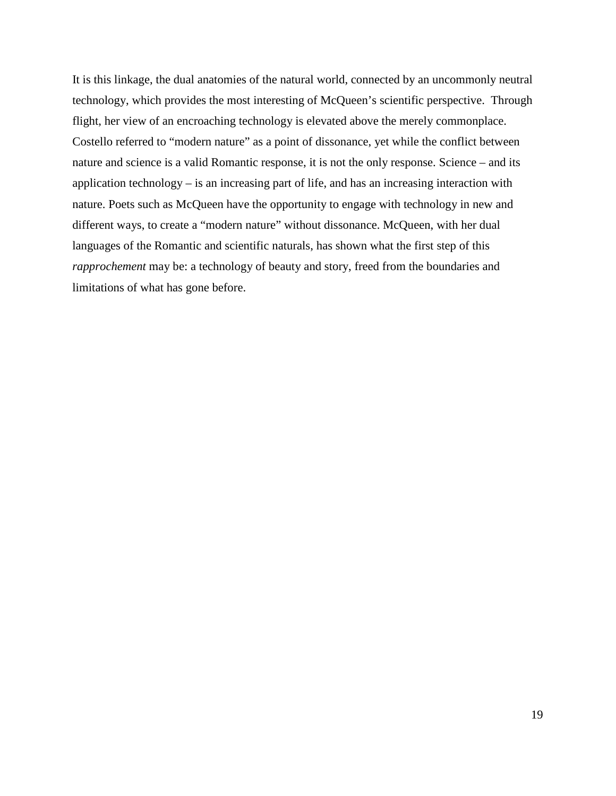It is this linkage, the dual anatomies of the natural world, connected by an uncommonly neutral technology, which provides the most interesting of McQueen's scientific perspective. Through flight, her view of an encroaching technology is elevated above the merely commonplace. Costello referred to "modern nature" as a point of dissonance, yet while the conflict between nature and science is a valid Romantic response, it is not the only response. Science – and its application technology – is an increasing part of life, and has an increasing interaction with nature. Poets such as McQueen have the opportunity to engage with technology in new and different ways, to create a "modern nature" without dissonance. McQueen, with her dual languages of the Romantic and scientific naturals, has shown what the first step of this *rapprochement* may be: a technology of beauty and story, freed from the boundaries and limitations of what has gone before.